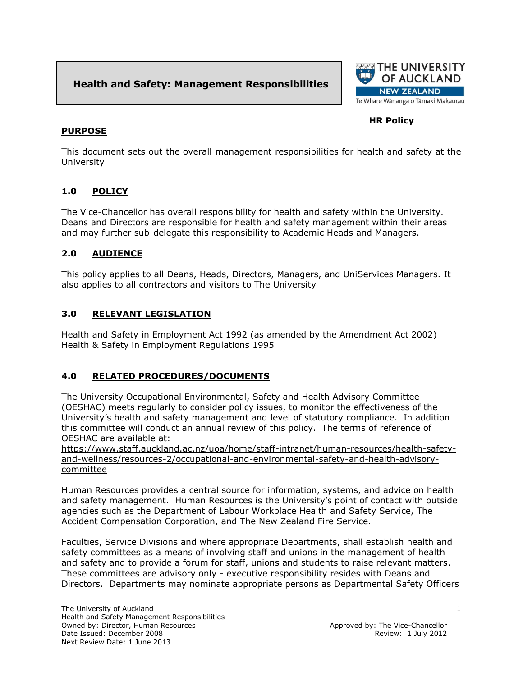# **Health and Safety: Management Responsibilities**



## **HR Policy**

#### **PURPOSE**

This document sets out the overall management responsibilities for health and safety at the University

### **1.0 POLICY**

The Vice-Chancellor has overall responsibility for health and safety within the University. Deans and Directors are responsible for health and safety management within their areas and may further sub-delegate this responsibility to Academic Heads and Managers.

### **2.0 AUDIENCE**

This policy applies to all Deans, Heads, Directors, Managers, and UniServices Managers. It also applies to all contractors and visitors to The University

#### **3.0 RELEVANT LEGISLATION**

Health and Safety in Employment Act 1992 (as amended by the Amendment Act 2002) Health & Safety in Employment Regulations 1995

### **4.0 RELATED PROCEDURES/DOCUMENTS**

The University Occupational Environmental, Safety and Health Advisory Committee (OESHAC) meets regularly to consider policy issues, to monitor the effectiveness of the University's health and safety management and level of statutory compliance. In addition this committee will conduct an annual review of this policy. The terms of reference of OESHAC are available at:

https://www.staff.auckland.ac.nz/uoa/home/staff-intranet/human-resources/health-safetyand-wellness/resources-2/occupational-and-environmental-safety-and-health-advisorycommittee

Human Resources provides a central source for information, systems, and advice on health and safety management. Human Resources is the University's point of contact with outside agencies such as the Department of Labour Workplace Health and Safety Service, The Accident Compensation Corporation, and The New Zealand Fire Service.

Faculties, Service Divisions and where appropriate Departments, shall establish health and safety committees as a means of involving staff and unions in the management of health and safety and to provide a forum for staff, unions and students to raise relevant matters. These committees are advisory only - executive responsibility resides with Deans and Directors. Departments may nominate appropriate persons as Departmental Safety Officers